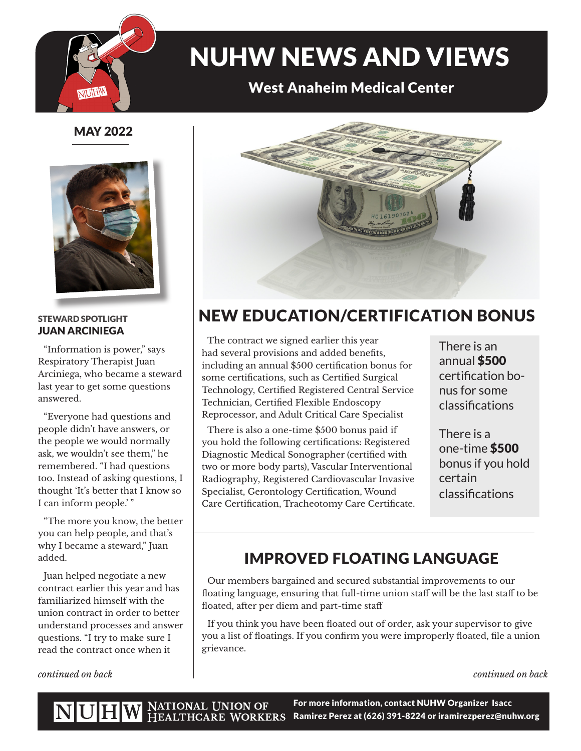

# NUHW NEWS AND VIEWS

### West Anaheim Medical Center

### MAY 2022



#### STEWARD SPOTLIGHT JUAN ARCINIEGA

"Information is power," says Respiratory Therapist Juan Arciniega, who became a steward last year to get some questions answered.

"Everyone had questions and people didn't have answers, or the people we would normally ask, we wouldn't see them," he remembered. "I had questions too. Instead of asking questions, I thought 'It's better that I know so I can inform people.' "

"The more you know, the better you can help people, and that's why I became a steward," Juan added.

Juan helped negotiate a new contract earlier this year and has familiarized himself with the union contract in order to better understand processes and answer questions. "I try to make sure I read the contract once when it

*continued on back*



### NEW EDUCATION/CERTIFICATION BONUS

The contract we signed earlier this year had several provisions and added benefits, including an annual \$500 certification bonus for some certifications, such as Certified Surgical Technology, Certified Registered Central Service Technician, Certified Flexible Endoscopy Reprocessor, and Adult Critical Care Specialist

There is also a one-time \$500 bonus paid if you hold the following certifications: Registered Diagnostic Medical Sonographer (certified with two or more body parts), Vascular Interventional Radiography, Registered Cardiovascular Invasive Specialist, Gerontology Certification, Wound Care Certification, Tracheotomy Care Certificate.

There is an annual \$500 certification bonus for some classifications

There is a one-time \$500 bonus if you hold certain classifications

### IMPROVED FLOATING LANGUAGE

Our members bargained and secured substantial improvements to our floating language, ensuring that full-time union staff will be the last staff to be floated, after per diem and part-time staff

If you think you have been floated out of order, ask your supervisor to give you a list of floatings. If you confirm you were improperly floated, file a union grievance.

*continued on back*

For more information, contact NUHW Organizer Isacc Ramirez Perez at (626) 391-8224 or iramirezperez@nuhw.org